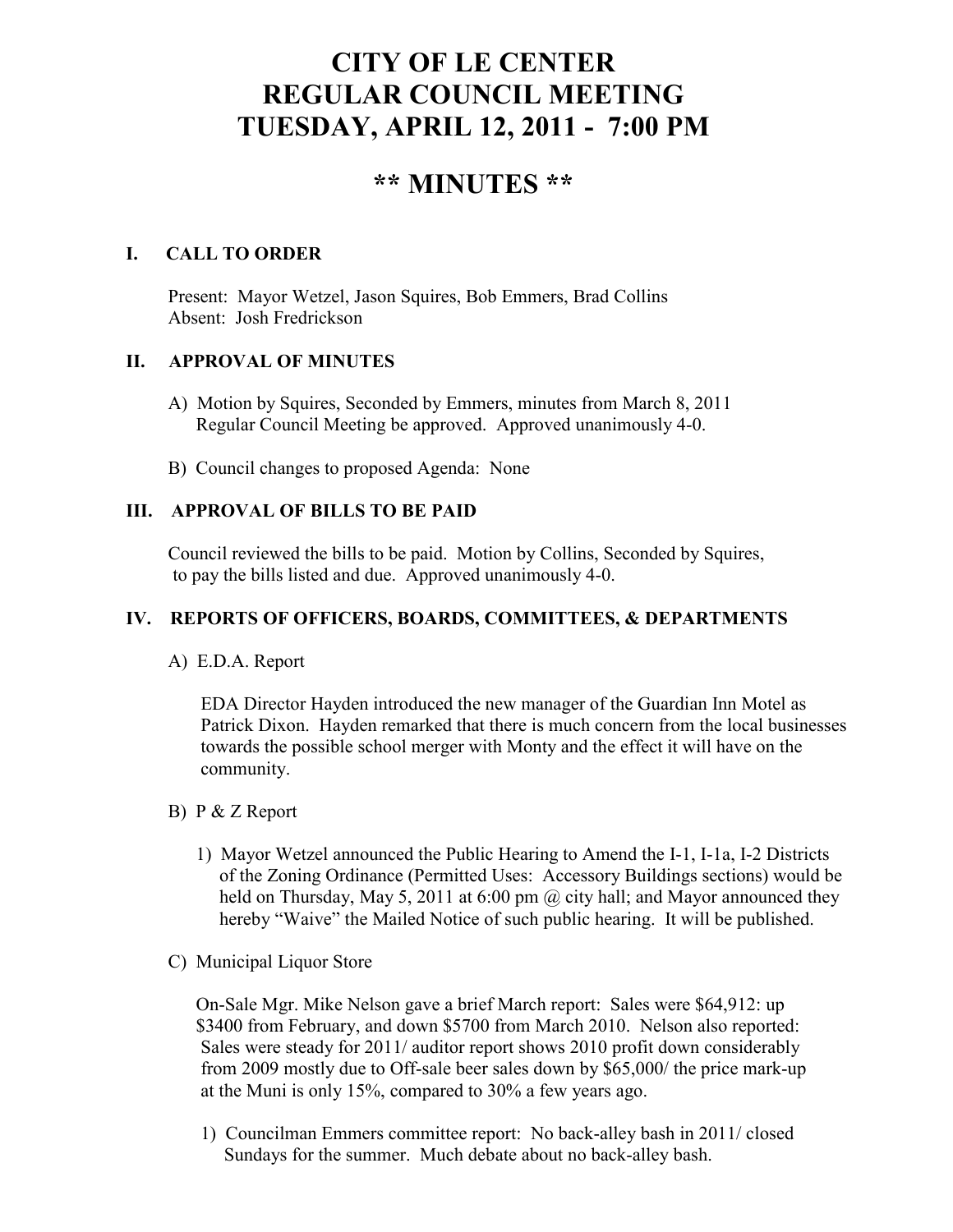# **CITY OF LE CENTER REGULAR COUNCIL MEETING TUESDAY, APRIL 12, 2011 - 7:00 PM**

# **\*\* MINUTES \*\***

# **I. CALL TO ORDER**

Present: Mayor Wetzel, Jason Squires, Bob Emmers, Brad Collins Absent: Josh Fredrickson

# **II. APPROVAL OF MINUTES**

- A) Motion by Squires, Seconded by Emmers, minutes from March 8, 2011 Regular Council Meeting be approved. Approved unanimously 4-0.
- B) Council changes to proposed Agenda: None

# **III. APPROVAL OF BILLS TO BE PAID**

Council reviewed the bills to be paid. Motion by Collins, Seconded by Squires, to pay the bills listed and due. Approved unanimously 4-0.

# **IV. REPORTS OF OFFICERS, BOARDS, COMMITTEES, & DEPARTMENTS**

A) E.D.A. Report

 EDA Director Hayden introduced the new manager of the Guardian Inn Motel as Patrick Dixon. Hayden remarked that there is much concern from the local businesses towards the possible school merger with Monty and the effect it will have on the community.

#### B) P & Z Report

- 1) Mayor Wetzel announced the Public Hearing to Amend the I-1, I-1a, I-2 Districts of the Zoning Ordinance (Permitted Uses: Accessory Buildings sections) would be held on Thursday, May 5, 2011 at 6:00 pm @ city hall; and Mayor announced they hereby "Waive" the Mailed Notice of such public hearing. It will be published.
- C) Municipal Liquor Store

On-Sale Mgr. Mike Nelson gave a brief March report: Sales were \$64,912: up \$3400 from February, and down \$5700 from March 2010. Nelson also reported: Sales were steady for 2011/ auditor report shows 2010 profit down considerably from 2009 mostly due to Off-sale beer sales down by \$65,000/ the price mark-up at the Muni is only 15%, compared to 30% a few years ago.

 1) Councilman Emmers committee report: No back-alley bash in 2011/ closed Sundays for the summer. Much debate about no back-alley bash.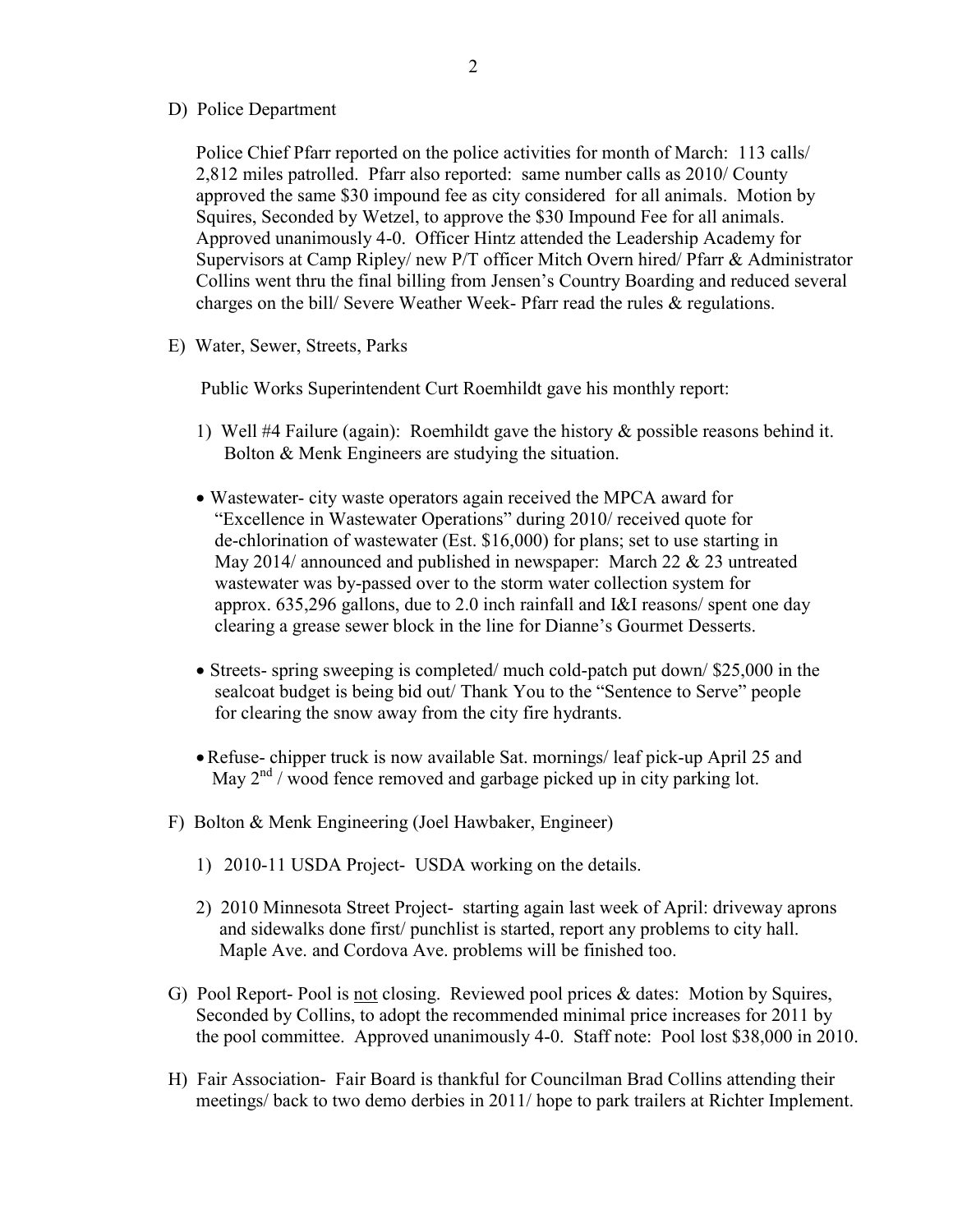D) Police Department

Police Chief Pfarr reported on the police activities for month of March: 113 calls/ 2,812 miles patrolled. Pfarr also reported: same number calls as 2010/ County approved the same \$30 impound fee as city considered for all animals. Motion by Squires, Seconded by Wetzel, to approve the \$30 Impound Fee for all animals. Approved unanimously 4-0. Officer Hintz attended the Leadership Academy for Supervisors at Camp Ripley/ new P/T officer Mitch Overn hired/ Pfarr & Administrator Collins went thru the final billing from Jensen's Country Boarding and reduced several charges on the bill/ Severe Weather Week- Pfarr read the rules & regulations.

E) Water, Sewer, Streets, Parks

Public Works Superintendent Curt Roemhildt gave his monthly report:

- 1) Well #4 Failure (again): Roemhildt gave the history & possible reasons behind it. Bolton & Menk Engineers are studying the situation.
- Wastewater- city waste operators again received the MPCA award for "Excellence in Wastewater Operations" during 2010/ received quote for de-chlorination of wastewater (Est. \$16,000) for plans; set to use starting in May 2014/ announced and published in newspaper: March 22 & 23 untreated wastewater was by-passed over to the storm water collection system for approx. 635,296 gallons, due to 2.0 inch rainfall and I&I reasons/ spent one day clearing a grease sewer block in the line for Dianne's Gourmet Desserts.
- Streets- spring sweeping is completed/ much cold-patch put down/ \$25,000 in the sealcoat budget is being bid out/ Thank You to the "Sentence to Serve" people for clearing the snow away from the city fire hydrants.
- •Refuse- chipper truck is now available Sat. mornings/ leaf pick-up April 25 and May  $2<sup>nd</sup>$  / wood fence removed and garbage picked up in city parking lot.
- F) Bolton & Menk Engineering (Joel Hawbaker, Engineer)
	- 1) 2010-11 USDA Project- USDA working on the details.
	- 2) 2010 Minnesota Street Project- starting again last week of April: driveway aprons and sidewalks done first/ punchlist is started, report any problems to city hall. Maple Ave. and Cordova Ave. problems will be finished too.
- G) Pool Report- Pool is not closing. Reviewed pool prices & dates: Motion by Squires, Seconded by Collins, to adopt the recommended minimal price increases for 2011 by the pool committee. Approved unanimously 4-0. Staff note: Pool lost \$38,000 in 2010.
- H) Fair Association- Fair Board is thankful for Councilman Brad Collins attending their meetings/ back to two demo derbies in 2011/ hope to park trailers at Richter Implement.